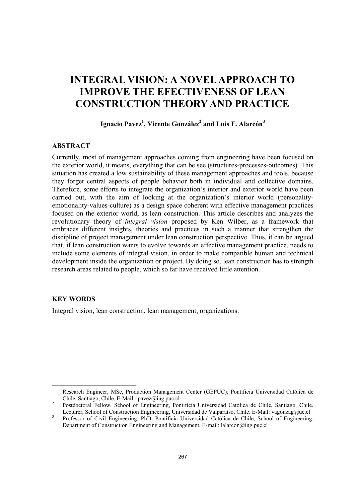# **INTEGRAL VISION: A NOVEL APPROACH TO IMPROVE THE EFECTIVENESS OF LEAN CONSTRUCTION THEORY AND PRACTICE**

# Ignacio Pavez<sup>1</sup>, Vicente González<sup>2</sup> and Luis F. Alarcón<sup>3</sup>

# **ABSTRACT**

Currently, most of management approaches coming from engineering have been focused on the exterior world, it means, everything that can be see (structures-processes-outcomes). This situation has created a low sustainability of these management approaches and tools, because they forget central aspects of people behavior both in individual and collective domains. Therefore, some efforts to integrate the organization's interior and exterior world have been carried out, with the aim of looking at the organization's interior world (personalityemotionality-values-culture) as a design space coherent with effective management practices focused on the exterior world, as lean construction. This article describes and analyzes the revolutionary theory of *integral vision* proposed by Ken Wilber, as a framework that embraces different insights, theories and practices in such a manner that strengthen the discipline of project management under lean construction perspective. Thus, it can be argued that, if lean construction wants to evolve towards an effective management practice, needs to include some elements of integral vision, in order to make compatible human and technical development inside the organization or project. By doing so, lean construction has to strength research areas related to people, which so far have received little attention.

### **KEY WORDS**

Integral vision, lean construction, lean management, organizations.

 $\frac{1}{1}$  Research Engineer, MSc, Production Management Center (GEPUC), Pontificia Universidad Católica de Chile, Santiago, Chile. E-Mail: ipavez@ing.puc.cl 2

Postdoctoral Fellow, School of Engineering, Pontificia Universidad Católica de Chile, Santiago, Chile. Lecturer, School of Construction Engineering, Universidad de Valparaíso, Chile. E-Mail: vagonzag@uc.cl 3<br>Because Construction Ph.D. Deutsche University Chile. Chile. School of Engineering

Professor of Civil Engineering, PhD, Pontificia Universidad Católica de Chile, School of Engineering, Department of Construction Engineering and Management, E-mail: lalarcon@ing.puc.cl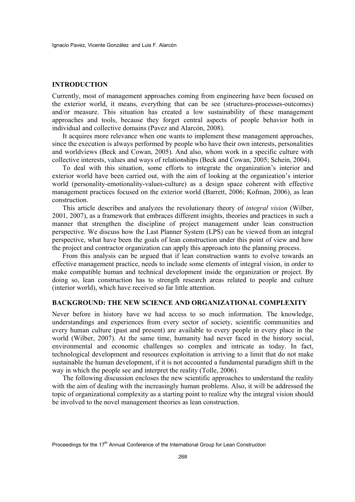#### **INTRODUCTION**

Currently, most of management approaches coming from engineering have been focused on the exterior world, it means, everything that can be see (structures-processes-outcomes) and/or measure. This situation has created a low sustainability of these management approaches and tools, because they forget central aspects of people behavior both in individual and collective domains (Pavez and Alarcón, 2008).

It acquires more relevance when one wants to implement these management approaches, since the execution is always performed by people who have their own interests, personalities and worldviews (Beck and Cowan, 2005). And also, whom work in a specific culture with collective interests, values and ways of relationships (Beck and Cowan, 2005; Schein, 2004).

To deal with this situation, some efforts to integrate the organization's interior and exterior world have been carried out, with the aim of looking at the organization's interior world (personality-emotionality-values-culture) as a design space coherent with effective management practices focused on the exterior world (Barrett, 2006; Kofman, 2006), as lean construction.

This article describes and analyzes the revolutionary theory of *integral vision* (Wilber, 2001, 2007), as a framework that embraces different insights, theories and practices in such a manner that strengthen the discipline of project management under lean construction perspective. We discuss how the Last Planner System (LPS) can be viewed from an integral perspective, what have been the goals of lean construction under this point of view and how the project and contractor organization can apply this approach into the planning process.

From this analysis can be argued that if lean construction wants to evolve towards an effective management practice, needs to include some elements of integral vision, in order to make compatible human and technical development inside the organization or project. By doing so, lean construction has to strength research areas related to people and culture (interior world), which have received so far little attention.

#### **BACKGROUND: THE NEW SCIENCE AND ORGANIZATIONAL COMPLEXITY**

Never before in history have we had access to so much information. The knowledge, understandings and experiences from every sector of society, scientific communities and every human culture (past and present) are available to every people in every place in the world (Wilber, 2007). At the same time, humanity had never faced in the history social, environmental and economic challenges so complex and intricate as today. In fact, technological development and resources exploitation is arriving to a limit that do not make sustainable the human development, if it is not accounted a fundamental paradigm shift in the way in which the people see and interpret the reality (Tolle, 2006).

The following discussion encloses the new scientific approaches to understand the reality with the aim of dealing with the increasingly human problems. Also, it will be addressed the topic of organizational complexity as a starting point to realize why the integral vision should be involved to the novel management theories as lean construction.

Proceedings for the 17<sup>th</sup> Annual Conference of the International Group for Lean Construction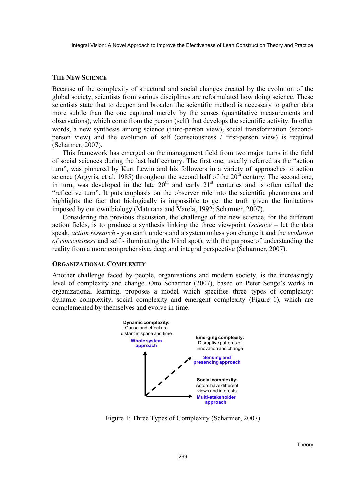# **THE NEW SCIENCE**

Because of the complexity of structural and social changes created by the evolution of the global society, scientists from various disciplines are reformulated how doing science. These scientists state that to deepen and broaden the scientific method is necessary to gather data more subtle than the one captured merely by the senses (quantitative measurements and observations), which come from the person (self) that develops the scientific activity. In other words, a new synthesis among science (third-person view), social transformation (secondperson view) and the evolution of self (consciousness / first-person view) is required (Scharmer, 2007).

This framework has emerged on the management field from two major turns in the field of social sciences during the last half century. The first one, usually referred as the "action turn", was pionered by Kurt Lewin and his followers in a variety of approaches to action science (Argyris, et al. 1985) throughout the second half of the  $20<sup>th</sup>$  century. The second one, in turn, was developed in the late  $20<sup>th</sup>$  and early  $21<sup>st</sup>$  centuries and is often called the "reflective turn". It puts emphasis on the observer role into the scientific phenomena and highlights the fact that biologically is impossible to get the truth given the limitations imposed by our own biology (Maturana and Varela, 1992; Scharmer, 2007).

Considering the previous discussion, the challenge of the new science, for the different action fields, is to produce a synthesis linking the three viewpoint (*science* – let the data speak, *action research* - you can´t understand a system unless you change it and the *evolution of consciusness* and self - iluminating the blind spot), with the purpose of understanding the reality from a more comprehensive, deep and integral perspective (Scharmer, 2007).

#### **ORGANIZATIONAL COMPLEXITY**

Another challenge faced by people, organizations and modern society, is the increasingly level of complexity and change. Otto Scharmer (2007), based on Peter Senge's works in organizational learning, proposes a model which specifies three types of complexity: dynamic complexity, social complexity and emergent complexity (Figure 1), which are complemented by themselves and evolve in time.



Figure 1: Three Types of Complexity (Scharmer, 2007)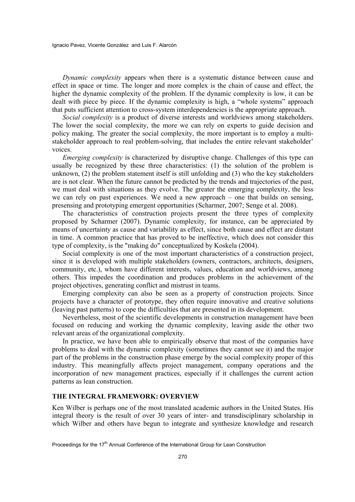*Dynamic complexity* appears when there is a systematic distance between cause and effect in space or time. The longer and more complex is the chain of cause and effect, the higher the dynamic complexity of the problem. If the dynamic complexity is low, it can be dealt with piece by piece. If the dynamic complexity is high, a "whole systems" approach that puts sufficient attention to cross-system interdependencies is the appropriate approach.

*Social complexity* is a product of diverse interests and worldviews among stakeholders. The lower the social complexity, the more we can rely on experts to guide decision and policy making. The greater the social complexity, the more important is to employ a multistakeholder approach to real problem-solving, that includes the entire relevant stakeholder' voices.

*Emerging complexity* is characterized by disruptive change. Challenges of this type can usually be recognized by these three characteristics: (1) the solution of the problem is unknown, (2) the problem statement itself is still unfolding and (3) who the key stakeholders are is not clear. When the future cannot be predicted by the trends and trajectories of the past, we must deal with situations as they evolve. The greater the emerging complexity, the less we can rely on past experiences. We need a new approach – one that builds on sensing, presensing and prototyping emergent opportunities (Scharmer, 2007; Senge et al. 2008).

The characteristics of construction projects present the three types of complexity proposed by Scharmer (2007). Dynamic complexity, for instance, can be appreciated by means of uncertainty as cause and variability as effect, since both cause and effect are distant in time. A common practice that has proved to be ineffective, which does not consider this type of complexity, is the "making do" conceptualized by Koskela (2004).

Social complexity is one of the most important characteristics of a construction project, since it is developed with multiple stakeholders (owners, contractors, architects, designers, community, etc.), whom have different interests, values, education and worldviews, among others. This impedes the coordination and produces problems in the achievement of the project objectives, generating conflict and mistrust in teams.

Emerging complexity can also be seen as a property of construction projects. Since projects have a character of prototype, they often require innovative and creative solutions (leaving past patterns) to cope the difficulties that are presented in its development.

Nevertheless, most of the scientific developments in construction management have been focused on reducing and working the dynamic complexity, leaving aside the other two relevant areas of the organizational complexity.

In practice, we have been able to empirically observe that most of the companies have problems to deal with the dynamic complexity (sometimes they cannot see it) and the major part of the problems in the construction phase emerge by the social complexity proper of this industry. This meaningfully affects project management, company operations and the incorporation of new management practices, especially if it challenges the current action patterns as lean construction.

### **THE INTEGRAL FRAMEWORK: OVERVIEW**

Ken Wilber is perhaps one of the most translated academic authors in the United States. His integral theory is the result of over 30 years of inter- and transdisciplinary scholarship in which Wilber and others have begun to integrate and synthesize knowledge and research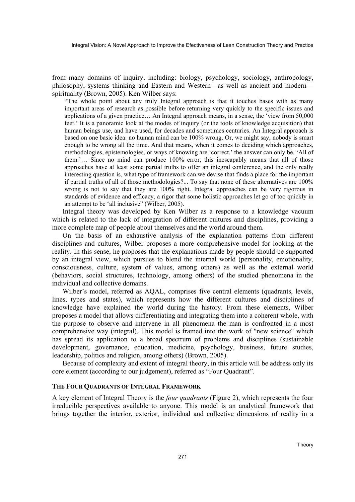from many domains of inquiry, including: biology, psychology, sociology, anthropology, philosophy, systems thinking and Eastern and Western—as well as ancient and modern spirituality (Brown, 2005). Ken Wilber says:

"The whole point about any truly Integral approach is that it touches bases with as many important areas of research as possible before returning very quickly to the specific issues and applications of a given practice… An Integral approach means, in a sense, the 'view from 50,000 feet.' It is a panoramic look at the modes of inquiry (or the tools of knowledge acquisition) that human beings use, and have used, for decades and sometimes centuries. An Integral approach is based on one basic idea: no human mind can be 100% wrong. Or, we might say, nobody is smart enough to be wrong all the time. And that means, when it comes to deciding which approaches, methodologies, epistemologies, or ways of knowing are 'correct,' the answer can only be, 'All of them.'… Since no mind can produce 100% error, this inescapably means that all of those approaches have at least some partial truths to offer an integral conference, and the only really interesting question is, what type of framework can we devise that finds a place for the important if partial truths of all of those methodologies?... To say that none of these alternatives are 100% wrong is not to say that they are 100% right. Integral approaches can be very rigorous in standards of evidence and efficacy, a rigor that some holistic approaches let go of too quickly in an attempt to be 'all inclusive" (Wilber, 2005).

Integral theory was developed by Ken Wilber as a response to a knowledge vacuum which is related to the lack of integration of different cultures and disciplines, providing a more complete map of people about themselves and the world around them.

On the basis of an exhaustive analysis of the explanation patterns from different disciplines and cultures, Wilber proposes a more comprehensive model for looking at the reality. In this sense, he proposes that the explanations made by people should be supported by an integral view, which pursues to blend the internal world (personality, emotionality, consciousness, culture, system of values, among others) as well as the external world (behaviors, social structures, technology, among others) of the studied phenomena in the individual and collective domains.

Wilber's model, referred as AQAL, comprises five central elements (quadrants, levels, lines, types and states), which represents how the different cultures and disciplines of knowledge have explained the world during the history. From these elements, Wilber proposes a model that allows differentiating and integrating them into a coherent whole, with the purpose to observe and intervene in all phenomena the man is confronted in a most comprehensive way (integral). This model is framed into the work of "new science" which has spread its application to a broad spectrum of problems and disciplines (sustainable development, governance, education, medicine, psychology, business, future studies, leadership, politics and religion, among others) (Brown, 2005).

Because of complexity and extent of integral theory, in this article will be address only its core element (according to our judgement), referred as "Four Quadrant".

#### **THE FOUR QUADRANTS OF INTEGRAL FRAMEWORK**

A key element of Integral Theory is the *four quadrants* (Figure 2), which represents the four irreducible perspectives available to anyone. This model is an analytical framework that brings together the interior, exterior, individual and collective dimensions of reality in a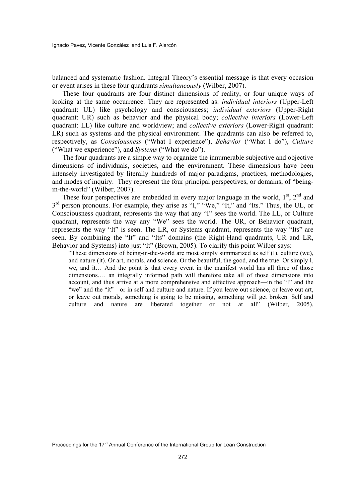balanced and systematic fashion. Integral Theory's essential message is that every occasion or event arises in these four quadrants *simultaneously* (Wilber, 2007).

These four quadrants are four distinct dimensions of reality, or four unique ways of looking at the same occurrence. They are represented as: *individual interiors* (Upper-Left quadrant: UL) like psychology and consciousness; *individual exteriors* (Upper-Right quadrant: UR) such as behavior and the physical body; *collective interiors* (Lower-Left quadrant: LL) like culture and worldview; and *collective exteriors* (Lower-Right quadrant: LR) such as systems and the physical environment. The quadrants can also be referred to, respectively, as *Consciousness* ("What I experience"), *Behavior* ("What I do"), *Culture* ("What we experience"), and *Systems* ("What we do").

The four quadrants are a simple way to organize the innumerable subjective and objective dimensions of individuals, societies, and the environment. These dimensions have been intensely investigated by literally hundreds of major paradigms, practices, methodologies, and modes of inquiry. They represent the four principal perspectives, or domains, of "beingin-the-world" (Wilber, 2007).

These four perspectives are embedded in every major language in the world,  $1<sup>st</sup>$ ,  $2<sup>nd</sup>$  and 3<sup>rd</sup> person pronouns. For example, they arise as "I," "We," "It," and "Its." Thus, the UL, or Consciousness quadrant, represents the way that any "I" sees the world. The LL, or Culture quadrant, represents the way any "We" sees the world. The UR, or Behavior quadrant, represents the way "It" is seen. The LR, or Systems quadrant, represents the way "Its" are seen. By combining the "It" and "Its" domains (the Right-Hand quadrants, UR and LR, Behavior and Systems) into just "It" (Brown, 2005). To clarify this point Wilber says:

"These dimensions of being-in-the-world are most simply summarized as self (I), culture (we), and nature (it). Or art, morals, and science. Or the beautiful, the good, and the true. Or simply I, we, and it… And the point is that every event in the manifest world has all three of those dimensions…. an integrally informed path will therefore take all of those dimensions into account, and thus arrive at a more comprehensive and effective approach—in the "I" and the "we" and the "it"—or in self and culture and nature. If you leave out science, or leave out art, or leave out morals, something is going to be missing, something will get broken. Self and culture and nature are liberated together or not at all" (Wilber, 2005).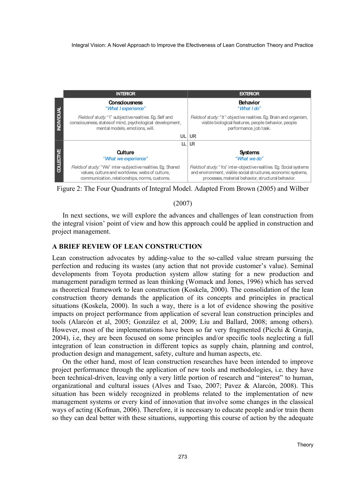

Figure 2: The Four Quadrants of Integral Model. Adapted From Brown (2005) and Wilber

(2007)

In next sections, we will explore the advances and challenges of lean construction from the integral vision' point of view and how this approach could be applied in construction and project management.

### **A BRIEF REVIEW OF LEAN CONSTRUCTION**

Lean construction advocates by adding-value to the so-called value stream pursuing the perfection and reducing its wastes (any action that not provide customer's value). Seminal developments from Toyota production system allow stating for a new production and management paradigm termed as lean thinking (Womack and Jones, 1996) which has served as theoretical framework to lean construction (Koskela, 2000). The consolidation of the lean construction theory demands the application of its concepts and principles in practical situations (Koskela, 2000). In such a way, there is a lot of evidence showing the positive impacts on project performance from application of several lean construction principles and tools (Alarcón et al, 2005; González et al, 2009; Liu and Ballard, 2008; among others). However, most of the implementations have been so far very fragmented (Picchi & Granja, 2004), i.e, they are been focused on some principles and/or specific tools neglecting a full integration of lean construction in different topics as supply chain, planning and control, production design and management, safety, culture and human aspects, etc.

On the other hand, most of lean construction researches have been intended to improve project performance through the application of new tools and methodologies, i.e. they have been technical-driven, leaving only a very little portion of research and "interest" to human, organizational and cultural issues (Alves and Tsao, 2007; Pavez & Alarcón, 2008). This situation has been widely recognized in problems related to the implementation of new management systems or every kind of innovation that involve some changes in the classical ways of acting (Kofman, 2006). Therefore, it is necessary to educate people and/or train them so they can deal better with these situations, supporting this course of action by the adequate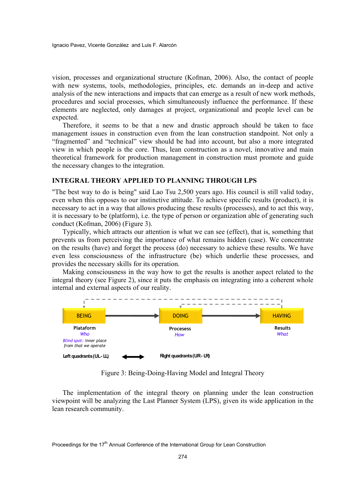vision, processes and organizational structure (Kofman, 2006). Also, the contact of people with new systems, tools, methodologies, principles, etc. demands an in-deep and active analysis of the new interactions and impacts that can emerge as a result of new work methods, procedures and social processes, which simultaneously influence the performance. If these elements are neglected, only damages at project, organizational and people level can be expected.

Therefore, it seems to be that a new and drastic approach should be taken to face management issues in construction even from the lean construction standpoint. Not only a "fragmented" and "technical" view should be had into account, but also a more integrated view in which people is the core. Thus, lean construction as a novel, innovative and main theoretical framework for production management in construction must promote and guide the necessary changes to the integration.

#### **INTEGRAL THEORY APPLIED TO PLANNING THROUGH LPS**

"The best way to do is being" said Lao Tsu 2,500 years ago. His council is still valid today, even when this opposes to our instinctive attitude. To achieve specific results (product), it is necessary to act in a way that allows producing these results (processes), and to act this way, it is necessary to be (platform), i.e. the type of person or organization able of generating such conduct (Kofman, 2006) (Figure 3).

Typically, which attracts our attention is what we can see (effect), that is, something that prevents us from perceiving the importance of what remains hidden (case). We concentrate on the results (have) and forget the process (do) necessary to achieve these results. We have even less consciousness of the infrastructure (be) which underlie these processes, and provides the necessary skills for its operation.

Making consciousness in the way how to get the results is another aspect related to the integral theory (see Figure 2), since it puts the emphasis on integrating into a coherent whole internal and external aspects of our reality.



Figure 3: Being-Doing-Having Model and Integral Theory

The implementation of the integral theory on planning under the lean construction viewpoint will be analyzing the Last Planner System (LPS), given its wide application in the lean research community.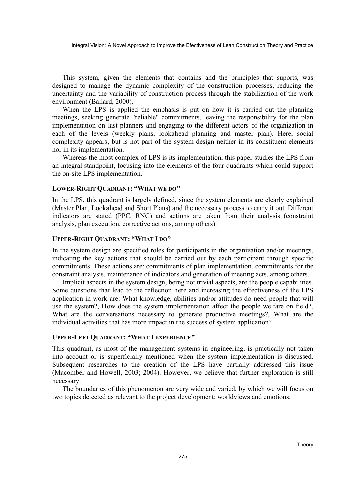This system, given the elements that contains and the principles that suports, was designed to manage the dynamic complexity of the construction processes, reducing the uncertainty and the variability of construction process through the stabilization of the work environment (Ballard, 2000).

When the LPS is applied the emphasis is put on how it is carried out the planning meetings, seeking generate "reliable" commitments, leaving the responsibility for the plan implementation on last planners and engaging to the different actors of the organization in each of the levels (weekly plans, lookahead planning and master plan). Here, social complexity appears, but is not part of the system design neither in its constituent elements nor in its implementation.

Whereas the most complex of LPS is its implementation, this paper studies the LPS from an integral standpoint, focusing into the elements of the four quadrants which could support the on-site LPS implementation.

#### **LOWER-RIGHT QUADRANT: "WHAT WE DO"**

In the LPS, this quadrant is largely defined, since the system elements are clearly explained (Master Plan, Lookahead and Short Plans) and the necessary process to carry it out. Different indicators are stated (PPC, RNC) and actions are taken from their analysis (constraint analysis, plan execution, corrective actions, among others).

#### **UPPER-RIGHT QUADRANT: "WHAT I DO"**

In the system design are specified roles for participants in the organization and/or meetings, indicating the key actions that should be carried out by each participant through specific commitments. These actions are: commitments of plan implementation, commitments for the constraint analysis, maintenance of indicators and generation of meeting acts, among others.

Implicit aspects in the system design, being not trivial aspects, are the people capabilities. Some questions that lead to the reflection here and increasing the effectiveness of the LPS application in work are: What knowledge, abilities and/or attitudes do need people that will use the system?, How does the system implementation affect the people welfare on field?, What are the conversations necessary to generate productive meetings?, What are the individual activities that has more impact in the success of system application?

### **UPPER-LEFT QUADRANT: "WHAT I EXPERIENCE"**

This quadrant, as most of the management systems in engineering, is practically not taken into account or is superficially mentioned when the system implementation is discussed. Subsequent researches to the creation of the LPS have partially addressed this issue (Macomber and Howell, 2003; 2004). However, we believe that further exploration is still necessary.

The boundaries of this phenomenon are very wide and varied, by which we will focus on two topics detected as relevant to the project development: worldviews and emotions.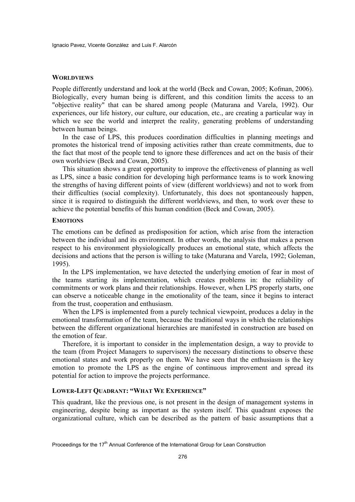#### **WORLDVIEWS**

People differently understand and look at the world (Beck and Cowan, 2005; Kofman, 2006). Biologically, every human being is different, and this condition limits the access to an "objective reality" that can be shared among people (Maturana and Varela, 1992). Our experiences, our life history, our culture, our education, etc., are creating a particular way in which we see the world and interpret the reality, generating problems of understanding between human beings.

In the case of LPS, this produces coordination difficulties in planning meetings and promotes the historical trend of imposing activities rather than create commitments, due to the fact that most of the people tend to ignore these differences and act on the basis of their own worldview (Beck and Cowan, 2005).

This situation shows a great opportunity to improve the effectiveness of planning as well as LPS, since a basic condition for developing high performance teams is to work knowing the strengths of having different points of view (different worldviews) and not to work from their difficulties (social complexity). Unfortunately, this does not spontaneously happen, since it is required to distinguish the different worldviews, and then, to work over these to achieve the potential benefits of this human condition (Beck and Cowan, 2005).

#### **EMOTIONS**

The emotions can be defined as predisposition for action, which arise from the interaction between the individual and its environment. In other words, the analysis that makes a person respect to his environment physiologically produces an emotional state, which affects the decisions and actions that the person is willing to take (Maturana and Varela, 1992; Goleman, 1995).

In the LPS implementation, we have detected the underlying emotion of fear in most of the teams starting its implementation, which creates problems in: the reliability of commitments or work plans and their relationships. However, when LPS properly starts, one can observe a noticeable change in the emotionality of the team, since it begins to interact from the trust, cooperation and enthusiasm.

When the LPS is implemented from a purely technical viewpoint, produces a delay in the emotional transformation of the team, because the traditional ways in which the relationships between the different organizational hierarchies are manifested in construction are based on the emotion of fear.

Therefore, it is important to consider in the implementation design, a way to provide to the team (from Project Managers to supervisors) the necessary distinctions to observe these emotional states and work properly on them. We have seen that the enthusiasm is the key emotion to promote the LPS as the engine of continuous improvement and spread its potential for action to improve the projects performance.

#### **LOWER-LEFT QUADRANT: "WHAT WE EXPERIENCE"**

This quadrant, like the previous one, is not present in the design of management systems in engineering, despite being as important as the system itself. This quadrant exposes the organizational culture, which can be described as the pattern of basic assumptions that a

Proceedings for the 17<sup>th</sup> Annual Conference of the International Group for Lean Construction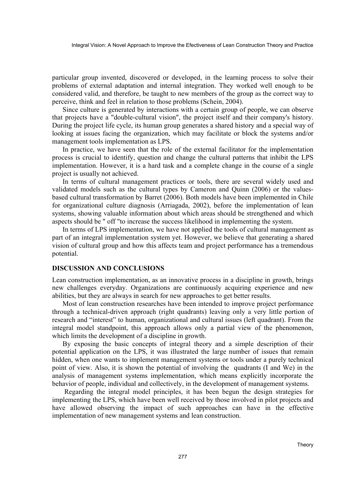particular group invented, discovered or developed, in the learning process to solve their problems of external adaptation and internal integration. They worked well enough to be considered valid, and therefore, be taught to new members of the group as the correct way to perceive, think and feel in relation to those problems (Schein, 2004).

Since culture is generated by interactions with a certain group of people, we can observe that projects have a "double-cultural vision", the project itself and their company's history. During the project life cycle, its human group generates a shared history and a special way of looking at issues facing the organization, which may facilitate or block the systems and/or management tools implementation as LPS.

In practice, we have seen that the role of the external facilitator for the implementation process is crucial to identify, question and change the cultural patterns that inhibit the LPS implementation. However, it is a hard task and a complete change in the course of a single project is usually not achieved.

In terms of cultural management practices or tools, there are several widely used and validated models such as the cultural types by Cameron and Quinn (2006) or the valuesbased cultural transformation by Barret (2006). Both models have been implemented in Chile for organizational culture diagnosis (Arriagada, 2002), before the implementation of lean systems, showing valuable information about which areas should be strengthened and which aspects should be " off "to increase the success likelihood in implementing the system.

In terms of LPS implementation, we have not applied the tools of cultural management as part of an integral implementation system yet. However, we believe that generating a shared vision of cultural group and how this affects team and project performance has a tremendous potential.

#### **DISCUSSION AND CONCLUSIONS**

Lean construction implementation, as an innovative process in a discipline in growth, brings new challenges everyday. Organizations are continuously acquiring experience and new abilities, but they are always in search for new approaches to get better results.

Most of lean construction researches have been intended to improve project performance through a technical-driven approach (right quadrants) leaving only a very little portion of research and "interest" to human, organizational and cultural issues (left quadrant). From the integral model standpoint, this approach allows only a partial view of the phenomenon, which limits the development of a discipline in growth.

By exposing the basic concepts of integral theory and a simple description of their potential application on the LPS, it was illustrated the large number of issues that remain hidden, when one wants to implement management systems or tools under a purely technical point of view. Also, it is shown the potential of involving the quadrants (I and We) in the analysis of management systems implementation, which means explicitly incorporate the behavior of people, individual and collectively, in the development of management systems.

 Regarding the integral model principles, it has been begun the design strategies for implementing the LPS, which have been well received by those involved in pilot projects and have allowed observing the impact of such approaches can have in the effective implementation of new management systems and lean construction.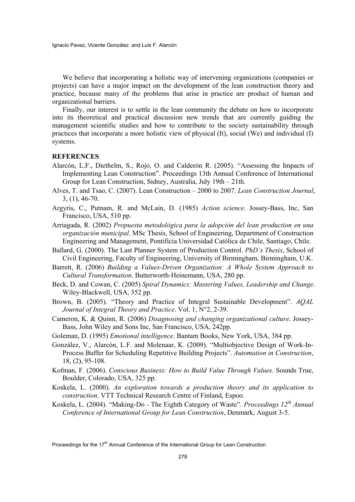We believe that incorporating a holistic way of intervening organizations (companies or projects) can have a major impact on the development of the lean construction theory and practice, because many of the problems that arise in practice are product of human and organizational barriers.

Finally, our interest is to settle in the lean community the debate on how to incorporate into its theoretical and practical discussion new trends that are currently guiding the management scientific studies and how to contribute to the society sustainability through practices that incorporate a more holistic view of physical (It), social (We) and individual (I) systems.

# **REFERENCES**

- Alarcón, L.F., Diethelm, S., Rojo, O. and Calderón R. (2005). "Assessing the Impacts of Implementing Lean Construction". Proceedings 13th Annual Conference of International Group for Lean Construction, Sidney, Australia, July 19th – 21th.
- Alves, T. and Tsao, C. (2007). Lean Construction 2000 to 2007. *Lean Construction Journal*, 3, (1), 46-70.
- Argyris, C., Putnam, R. and McLain, D. (1985) *Action science*. Jossey-Bass, Inc, San Francisco, USA, 510 pp.
- Arriagada, R. (2002) *Propuesta metodológica para la adopción del lean production en una organización municipal*. MSc Thesis, School of Engineering, Department of Construction Engineering and Management, Pontificia Universidad Católica de Chile, Santiago, Chile.
- Ballard, G. (2000). The Last Planner System of Production Control. *PhD's Thesis*, School of Civil Engineering, Faculty of Engineering, University of Birmingham, Birmingham, U.K.
- Barrett, R. (2006) *Building a Values-Driven Organization: A Whole System Approach to Cultural Transformation*. Butterworth-Heinemann, USA, 280 pp.
- Beck, D. and Cowan, C. (2005) *Spiral Dynamics: Mastering Values, Leadership and Change*. Wiley-Blackwell, USA, 352 pp.
- Brown, B. (2005). "Theory and Practice of Integral Sustainable Development". *AQAL Journal of Integral Theory and Practice*. Vol. 1, N°2, 2-39.
- Cameron, K. & Quinn, R. (2006) *Disagnosing and changing organizational culture*. Jossey-Bass, John Wiley and Sons Inc, San Francisco, USA, 242pp.
- Goleman, D. (1995) *Emotional intelligence*. Bantam Books, New York, USA, 384 pp.
- González, V., Alarcón, L.F. and Molenaar, K. (2009). "Multiobjective Design of Work-In-Process Buffer for Scheduling Repetitive Building Projects". *Automation in Construction*, 18, (2), 95-108.
- Kofman, F. (2006). *Conscious Business: How to Build Value Through Values*. Sounds True, Boulder, Colorado, USA, 325 pp.
- Koskela, L. (2000). *An exploration towards a production theory and its application to construction*. VTT Technical Research Centre of Finland, Espoo.
- Koskela, L. (2004). "Making-Do The Eighth Category of Waste". *Proceedings 12th Annual Conference of International Group for Lean Construction*, Denmark, August 3-5.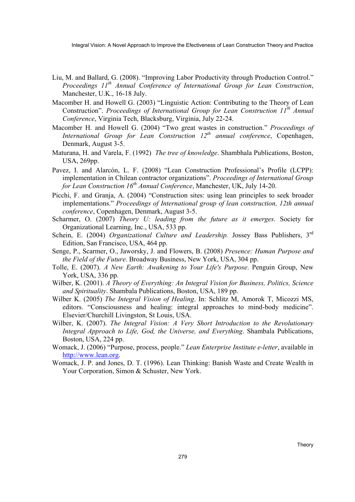- Liu, M. and Ballard, G. (2008). "Improving Labor Productivity through Production Control." *Proceedings 11th Annual Conference of International Group for Lean Construction*, Manchester, U.K., 16-18 July.
- Macomber H. and Howell G. (2003) "Linguistic Action: Contributing to the Theory of Lean Construction". *Proceedings of International Group for Lean Construction 11th Annual Conference*, Virginia Tech, Blacksburg, Virginia, July 22-24.
- Macomber H. and Howell G. (2004) "Two great wastes in construction." *Proceedings of International Group for Lean Construction 12th annual conference*, Copenhagen, Denmark, August 3-5.
- Maturana, H. and Varela, F. (1992) *The tree of knowledge*. Shambhala Publications, Boston, USA, 269pp.
- Pavez, I. and Alarcón, L. F. (2008) "Lean Construction Professional's Profile (LCPP): implementation in Chilean contractor organizations". *Proceedings of International Group for Lean Construction 16th Annual Conference*, Manchester, UK, July 14-20.
- Picchi, F. and Granja, A. (2004) "Construction sites: using lean principles to seek broader implementations." *Proceedings of International group of lean construction, 12th annual conference*, Copenhagen, Denmark, August 3-5.
- Scharmer, O. (2007) *Theory U: leading from the future as it emerges*. Society for Organizational Learning, Inc., USA, 533 pp.
- Schein, E. (2004) *Organizational Culture and Leadership.* Jossey Bass Publishers, 3rd Edition, San Francisco, USA, 464 pp.
- Senge, P., Scarmer, O., Jaworsky, J. and Flowers, B. (2008) *Presence: Human Purpose and the Field of the Future*. Broadway Business, New York, USA, 304 pp.
- Tolle, E. (2007). *A New Earth: Awakening to Your Life's Purpose*. Penguin Group, New York, USA, 336 pp.
- Wilber, K. (2001). *A Theory of Everything: An Integral Vision for Business, Politics, Science and Spirituality*. Shambala Publications, Boston, USA, 189 pp.
- Wilber K. (2005) *The Integral Vision of Healing*. In: Schlitz M, Amorok T, Micozzi MS, editors. "Consciousness and healing: integral approaches to mind-body medicine". Elsevier/Churchill Livingston, St Louis, USA.
- Wilber, K. (2007). *The Integral Vision: A Very Short Introduction to the Revolutionary Integral Approach to Life, God, the Universe, and Everything*. Shambala Publications, Boston, USA, 224 pp.
- Womack, J. (2006) "Purpose, process, people." *Lean Enterprise Institute e-letter*, available in http://www.lean.org.
- Womack, J. P. and Jones, D. T. (1996). Lean Thinking: Banish Waste and Create Wealth in Your Corporation, Simon & Schuster, New York.